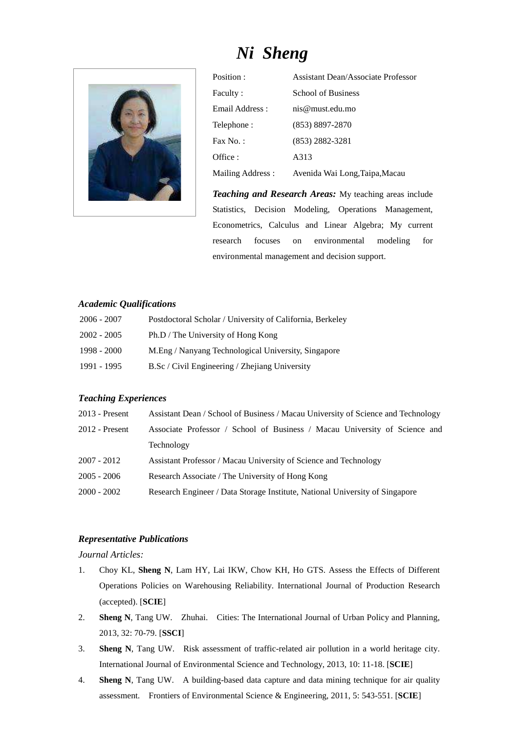# *Ni Sheng*



| Position:               | <b>Assistant Dean/Associate Professor</b> |
|-------------------------|-------------------------------------------|
| Faculty:                | <b>School of Business</b>                 |
| Email Address :         | nis@must.edu.mo                           |
| Telephone:              | (853) 8897-2870                           |
| Fax No. :               | $(853)$ 2882-3281                         |
| Office :                | A313                                      |
| <b>Mailing Address:</b> | Avenida Wai Long, Taipa, Macau            |

*Teaching and Research Areas:* My teaching areas include Statistics, Decision Modeling, Operations Management, Econometrics, Calculus and Linear Algebra; My current research focuses on environmental modeling for environmental management and decision support.

## *Academic Qualifications*

| $2006 - 2007$ | Postdoctoral Scholar / University of California, Berkeley |
|---------------|-----------------------------------------------------------|
| $2002 - 2005$ | Ph.D / The University of Hong Kong                        |
| 1998 - 2000   | M.Eng / Nanyang Technological University, Singapore       |
| 1991 - 1995   | B.Sc / Civil Engineering / Zhejiang University            |

## *Teaching Experiences*

| 2013 - Present | Assistant Dean / School of Business / Macau University of Science and Technology |
|----------------|----------------------------------------------------------------------------------|
| 2012 - Present | Associate Professor / School of Business / Macau University of Science and       |
|                | Technology                                                                       |
| 2007 - 2012    | Assistant Professor / Macau University of Science and Technology                 |
| 2005 - 2006    | Research Associate / The University of Hong Kong                                 |
| 2000 - 2002    | Research Engineer / Data Storage Institute, National University of Singapore     |

# *Representative Publications*

*Journal Articles:* 

- 1. Choy KL, **Sheng N**, Lam HY, Lai IKW, Chow KH, Ho GTS. Assess the Effects of Different Operations Policies on Warehousing Reliability. International Journal of Production Research (accepted). [**SCIE**]
- 2. **Sheng N**, Tang UW. Zhuhai. Cities: The International Journal of Urban Policy and Planning, 2013, 32: 70-79. [**SSCI**]
- 3. **Sheng N**, Tang UW. Risk assessment of traffic-related air pollution in a world heritage city. International Journal of Environmental Science and Technology, 2013, 10: 11-18. [**SCIE**]
- 4. **Sheng N**, Tang UW. A building-based data capture and data mining technique for air quality assessment. Frontiers of Environmental Science & Engineering, 2011, 5: 543-551. [**SCIE**]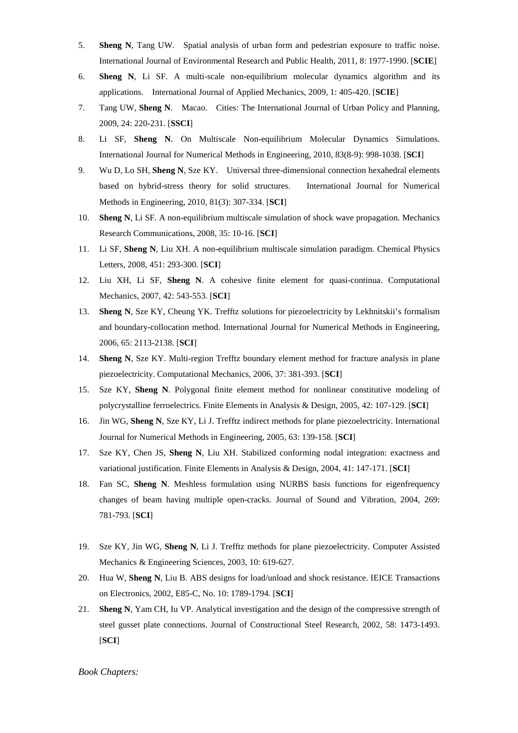- 5. **Sheng N**, Tang UW. Spatial analysis of urban form and pedestrian exposure to traffic noise. International Journal of Environmental Research and Public Health, 2011, 8: 1977-1990. [**SCIE**]
- 6. **Sheng N**, Li SF. A multi-scale non-equilibrium molecular dynamics algorithm and its applications. International Journal of Applied Mechanics, 2009, 1: 405-420. [**SCIE**]
- 7. Tang UW, **Sheng N**. Macao. Cities: The International Journal of Urban Policy and Planning, 2009, 24: 220-231. [**SSCI**]
- 8. Li SF, **Sheng N**. On Multiscale Non-equilibrium Molecular Dynamics Simulations. International Journal for Numerical Methods in Engineering, 2010, 83(8-9): 998-1038. [**SCI**]
- 9. Wu D, Lo SH, **Sheng N**, Sze KY. Universal three-dimensional connection hexahedral elements based on hybrid-stress theory for solid structures. International Journal for Numerical Methods in Engineering, 2010, 81(3): 307-334. [**SCI**]
- 10. **Sheng N**, Li SF. A non-equilibrium multiscale simulation of shock wave propagation. Mechanics Research Communications, 2008, 35: 10-16. [**SCI**]
- 11. Li SF, **Sheng N**, Liu XH. A non-equilibrium multiscale simulation paradigm. Chemical Physics Letters, 2008, 451: 293-300. [**SCI**]
- 12. Liu XH, Li SF, **Sheng N**. A cohesive finite element for quasi-continua. Computational Mechanics, 2007, 42: 543-553. [**SCI**]
- 13. **Sheng N**, Sze KY, Cheung YK. Trefftz solutions for piezoelectricity by Lekhnitskii's formalism and boundary-collocation method. International Journal for Numerical Methods in Engineering, 2006, 65: 2113-2138. [**SCI**]
- 14. **Sheng N**, Sze KY. Multi-region Trefftz boundary element method for fracture analysis in plane piezoelectricity. Computational Mechanics, 2006, 37: 381-393. [**SCI**]
- 15. Sze KY, **Sheng N**. Polygonal finite element method for nonlinear constitutive modeling of polycrystalline ferroelectrics. Finite Elements in Analysis & Design, 2005, 42: 107-129. [**SCI**]
- 16. Jin WG, **Sheng N**, Sze KY, Li J. Trefftz indirect methods for plane piezoelectricity. International Journal for Numerical Methods in Engineering, 2005, 63: 139-158. [**SCI**]
- 17. Sze KY, Chen JS, **Sheng N**, Liu XH. Stabilized conforming nodal integration: exactness and variational justification. Finite Elements in Analysis & Design, 2004, 41: 147-171. [**SCI**]
- 18. Fan SC, **Sheng N**. Meshless formulation using NURBS basis functions for eigenfrequency changes of beam having multiple open-cracks. Journal of Sound and Vibration, 2004, 269: 781-793. [**SCI**]
- 19. Sze KY, Jin WG, **Sheng N**, Li J. Trefftz methods for plane piezoelectricity. Computer Assisted Mechanics & Engineering Sciences, 2003, 10: 619-627.
- 20. Hua W, **Sheng N**, Liu B. ABS designs for load/unload and shock resistance. IEICE Transactions on Electronics, 2002, E85-C, No. 10: 1789-1794. [**SCI**]
- 21. **Sheng N**, Yam CH, Iu VP. Analytical investigation and the design of the compressive strength of steel gusset plate connections. Journal of Constructional Steel Research, 2002, 58: 1473-1493. [**SCI**]

*Book Chapters:*